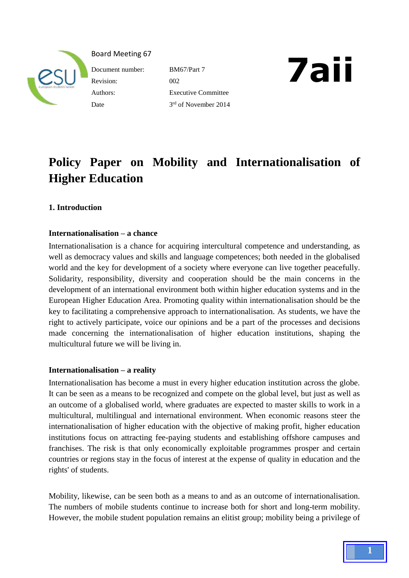

Board Meeting 67

Revision: 002 Date

Document number: BM67/Part 7 Authors: Executive Committee 3rd of November 2014



# **Policy Paper on Mobility and Internationalisation of Higher Education**

# **1. Introduction**

# **Internationalisation – a chance**

Internationalisation is a chance for acquiring intercultural competence and understanding, as well as democracy values and skills and language competences; both needed in the globalised world and the key for development of a society where everyone can live together peacefully. Solidarity, responsibility, diversity and cooperation should be the main concerns in the development of an international environment both within higher education systems and in the European Higher Education Area. Promoting quality within internationalisation should be the key to facilitating a comprehensive approach to internationalisation. As students, we have the right to actively participate, voice our opinions and be a part of the processes and decisions made concerning the internationalisation of higher education institutions, shaping the multicultural future we will be living in.

# **Internationalisation – a reality**

Internationalisation has become a must in every higher education institution across the globe. It can be seen as a means to be recognized and compete on the global level, but just as well as an outcome of a globalised world, where graduates are expected to master skills to work in a multicultural, multilingual and international environment. When economic reasons steer the internationalisation of higher education with the objective of making profit, higher education institutions focus on attracting fee-paying students and establishing offshore campuses and franchises. The risk is that only economically exploitable programmes prosper and certain countries or regions stay in the focus of interest at the expense of quality in education and the rights' of students.

Mobility, likewise, can be seen both as a means to and as an outcome of internationalisation. The numbers of mobile students continue to increase both for short and long-term mobility. However, the mobile student population remains an elitist group; mobility being a privilege of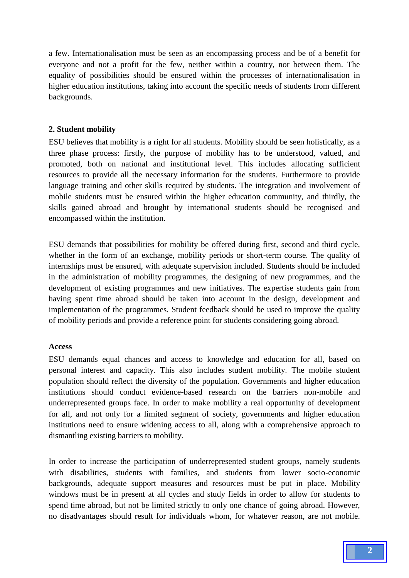a few. Internationalisation must be seen as an encompassing process and be of a benefit for everyone and not a profit for the few, neither within a country, nor between them. The equality of possibilities should be ensured within the processes of internationalisation in higher education institutions, taking into account the specific needs of students from different backgrounds.

## **2. Student mobility**

ESU believes that mobility is a right for all students. Mobility should be seen holistically, as a three phase process: firstly, the purpose of mobility has to be understood, valued, and promoted, both on national and institutional level. This includes allocating sufficient resources to provide all the necessary information for the students. Furthermore to provide language training and other skills required by students. The integration and involvement of mobile students must be ensured within the higher education community, and thirdly, the skills gained abroad and brought by international students should be recognised and encompassed within the institution.

ESU demands that possibilities for mobility be offered during first, second and third cycle, whether in the form of an exchange, mobility periods or short-term course. The quality of internships must be ensured, with adequate supervision included. Students should be included in the administration of mobility programmes, the designing of new programmes, and the development of existing programmes and new initiatives. The expertise students gain from having spent time abroad should be taken into account in the design, development and implementation of the programmes. Student feedback should be used to improve the quality of mobility periods and provide a reference point for students considering going abroad.

### **Access**

ESU demands equal chances and access to knowledge and education for all, based on personal interest and capacity. This also includes student mobility. The mobile student population should reflect the diversity of the population. Governments and higher education institutions should conduct evidence-based research on the barriers non-mobile and underrepresented groups face. In order to make mobility a real opportunity of development for all, and not only for a limited segment of society, governments and higher education institutions need to ensure widening access to all, along with a comprehensive approach to dismantling existing barriers to mobility.

In order to increase the participation of underrepresented student groups, namely students with disabilities, students with families, and students from lower socio-economic backgrounds, adequate support measures and resources must be put in place. Mobility windows must be in present at all cycles and study fields in order to allow for students to spend time abroad, but not be limited strictly to only one chance of going abroad. However, no disadvantages should result for individuals whom, for whatever reason, are not mobile.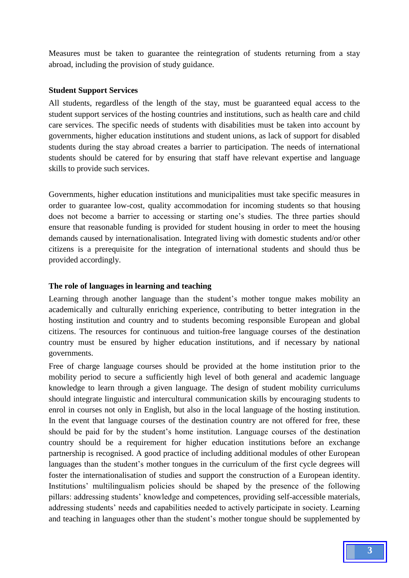Measures must be taken to guarantee the reintegration of students returning from a stay abroad, including the provision of study guidance.

## **Student Support Services**

All students, regardless of the length of the stay, must be guaranteed equal access to the student support services of the hosting countries and institutions, such as health care and child care services. The specific needs of students with disabilities must be taken into account by governments, higher education institutions and student unions, as lack of support for disabled students during the stay abroad creates a barrier to participation. The needs of international students should be catered for by ensuring that staff have relevant expertise and language skills to provide such services.

Governments, higher education institutions and municipalities must take specific measures in order to guarantee low-cost, quality accommodation for incoming students so that housing does not become a barrier to accessing or starting one's studies. The three parties should ensure that reasonable funding is provided for student housing in order to meet the housing demands caused by internationalisation. Integrated living with domestic students and/or other citizens is a prerequisite for the integration of international students and should thus be provided accordingly.

## **The role of languages in learning and teaching**

Learning through another language than the student's mother tongue makes mobility an academically and culturally enriching experience, contributing to better integration in the hosting institution and country and to students becoming responsible European and global citizens. The resources for continuous and tuition-free language courses of the destination country must be ensured by higher education institutions, and if necessary by national governments.

Free of charge language courses should be provided at the home institution prior to the mobility period to secure a sufficiently high level of both general and academic language knowledge to learn through a given language. The design of student mobility curriculums should integrate linguistic and intercultural communication skills by encouraging students to enrol in courses not only in English, but also in the local language of the hosting institution. In the event that language courses of the destination country are not offered for free, these should be paid for by the student's home institution. Language courses of the destination country should be a requirement for higher education institutions before an exchange partnership is recognised. A good practice of including additional modules of other European languages than the student's mother tongues in the curriculum of the first cycle degrees will foster the internationalisation of studies and support the construction of a European identity. Institutions' multilingualism policies should be shaped by the presence of the following pillars: addressing students' knowledge and competences, providing self-accessible materials, addressing students' needs and capabilities needed to actively participate in society. Learning and teaching in languages other than the student's mother tongue should be supplemented by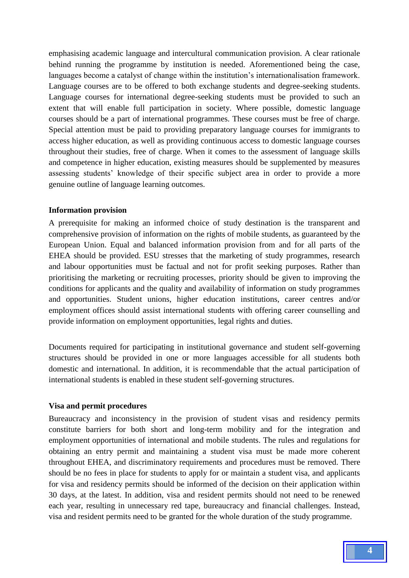emphasising academic language and intercultural communication provision. A clear rationale behind running the programme by institution is needed. Aforementioned being the case, languages become a catalyst of change within the institution's internationalisation framework. Language courses are to be offered to both exchange students and degree-seeking students. Language courses for international degree-seeking students must be provided to such an extent that will enable full participation in society. Where possible, domestic language courses should be a part of international programmes. These courses must be free of charge. Special attention must be paid to providing preparatory language courses for immigrants to access higher education, as well as providing continuous access to domestic language courses throughout their studies, free of charge. When it comes to the assessment of language skills and competence in higher education, existing measures should be supplemented by measures assessing students' knowledge of their specific subject area in order to provide a more genuine outline of language learning outcomes.

#### **Information provision**

A prerequisite for making an informed choice of study destination is the transparent and comprehensive provision of information on the rights of mobile students, as guaranteed by the European Union. Equal and balanced information provision from and for all parts of the EHEA should be provided. ESU stresses that the marketing of study programmes, research and labour opportunities must be factual and not for profit seeking purposes. Rather than prioritising the marketing or recruiting processes, priority should be given to improving the conditions for applicants and the quality and availability of information on study programmes and opportunities. Student unions, higher education institutions, career centres and/or employment offices should assist international students with offering career counselling and provide information on employment opportunities, legal rights and duties.

Documents required for participating in institutional governance and student self-governing structures should be provided in one or more languages accessible for all students both domestic and international. In addition, it is recommendable that the actual participation of international students is enabled in these student self-governing structures.

#### **Visa and permit procedures**

Bureaucracy and inconsistency in the provision of student visas and residency permits constitute barriers for both short and long-term mobility and for the integration and employment opportunities of international and mobile students. The rules and regulations for obtaining an entry permit and maintaining a student visa must be made more coherent throughout EHEA, and discriminatory requirements and procedures must be removed. There should be no fees in place for students to apply for or maintain a student visa, and applicants for visa and residency permits should be informed of the decision on their application within 30 days, at the latest. In addition, visa and resident permits should not need to be renewed each year, resulting in unnecessary red tape, bureaucracy and financial challenges. Instead, visa and resident permits need to be granted for the whole duration of the study programme.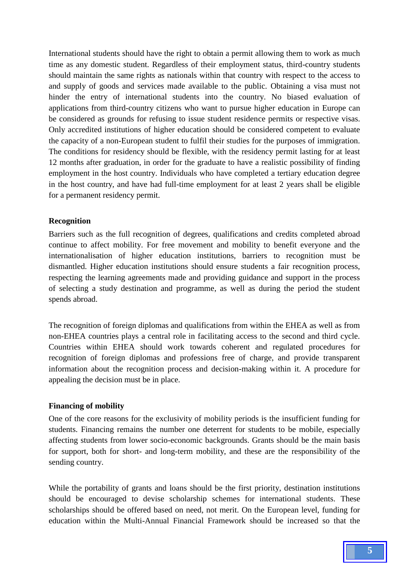International students should have the right to obtain a permit allowing them to work as much time as any domestic student. Regardless of their employment status, third-country students should maintain the same rights as nationals within that country with respect to the access to and supply of goods and services made available to the public. Obtaining a visa must not hinder the entry of international students into the country. No biased evaluation of applications from third-country citizens who want to pursue higher education in Europe can be considered as grounds for refusing to issue student residence permits or respective visas. Only accredited institutions of higher education should be considered competent to evaluate the capacity of a non-European student to fulfil their studies for the purposes of immigration. The conditions for residency should be flexible, with the residency permit lasting for at least 12 months after graduation, in order for the graduate to have a realistic possibility of finding employment in the host country. Individuals who have completed a tertiary education degree in the host country, and have had full-time employment for at least 2 years shall be eligible for a permanent residency permit.

### **Recognition**

Barriers such as the full recognition of degrees, qualifications and credits completed abroad continue to affect mobility. For free movement and mobility to benefit everyone and the internationalisation of higher education institutions, barriers to recognition must be dismantled. Higher education institutions should ensure students a fair recognition process, respecting the learning agreements made and providing guidance and support in the process of selecting a study destination and programme, as well as during the period the student spends abroad.

The recognition of foreign diplomas and qualifications from within the EHEA as well as from non-EHEA countries plays a central role in facilitating access to the second and third cycle. Countries within EHEA should work towards coherent and regulated procedures for recognition of foreign diplomas and professions free of charge, and provide transparent information about the recognition process and decision-making within it. A procedure for appealing the decision must be in place.

### **Financing of mobility**

One of the core reasons for the exclusivity of mobility periods is the insufficient funding for students. Financing remains the number one deterrent for students to be mobile, especially affecting students from lower socio-economic backgrounds. Grants should be the main basis for support, both for short- and long-term mobility, and these are the responsibility of the sending country.

While the portability of grants and loans should be the first priority, destination institutions should be encouraged to devise scholarship schemes for international students. These scholarships should be offered based on need, not merit. On the European level, funding for education within the Multi-Annual Financial Framework should be increased so that the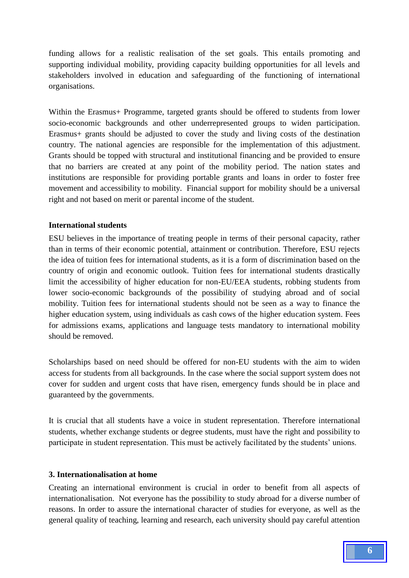funding allows for a realistic realisation of the set goals. This entails promoting and supporting individual mobility, providing capacity building opportunities for all levels and stakeholders involved in education and safeguarding of the functioning of international organisations.

Within the Erasmus+ Programme, targeted grants should be offered to students from lower socio-economic backgrounds and other underrepresented groups to widen participation. Erasmus+ grants should be adjusted to cover the study and living costs of the destination country. The national agencies are responsible for the implementation of this adjustment. Grants should be topped with structural and institutional financing and be provided to ensure that no barriers are created at any point of the mobility period. The nation states and institutions are responsible for providing portable grants and loans in order to foster free movement and accessibility to mobility. Financial support for mobility should be a universal right and not based on merit or parental income of the student.

## **International students**

ESU believes in the importance of treating people in terms of their personal capacity, rather than in terms of their economic potential, attainment or contribution. Therefore, ESU rejects the idea of tuition fees for international students, as it is a form of discrimination based on the country of origin and economic outlook. Tuition fees for international students drastically limit the accessibility of higher education for non-EU/EEA students, robbing students from lower socio-economic backgrounds of the possibility of studying abroad and of social mobility. Tuition fees for international students should not be seen as a way to finance the higher education system, using individuals as cash cows of the higher education system. Fees for admissions exams, applications and language tests mandatory to international mobility should be removed.

Scholarships based on need should be offered for non-EU students with the aim to widen access for students from all backgrounds. In the case where the social support system does not cover for sudden and urgent costs that have risen, emergency funds should be in place and guaranteed by the governments.

It is crucial that all students have a voice in student representation. Therefore international students, whether exchange students or degree students, must have the right and possibility to participate in student representation. This must be actively facilitated by the students' unions.

### **3. Internationalisation at home**

Creating an international environment is crucial in order to benefit from all aspects of internationalisation. Not everyone has the possibility to study abroad for a diverse number of reasons. In order to assure the international character of studies for everyone, as well as the general quality of teaching, learning and research, each university should pay careful attention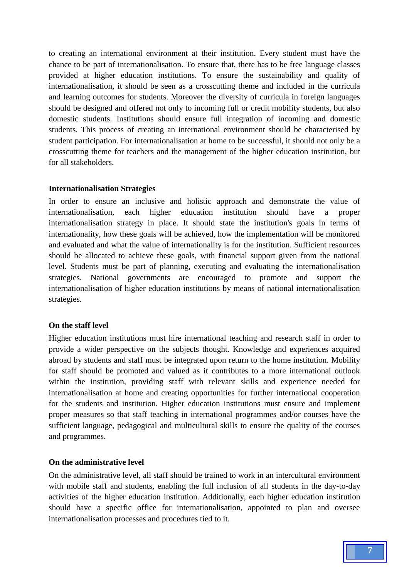to creating an international environment at their institution. Every student must have the chance to be part of internationalisation. To ensure that, there has to be free language classes provided at higher education institutions. To ensure the sustainability and quality of internationalisation, it should be seen as a crosscutting theme and included in the curricula and learning outcomes for students. Moreover the diversity of curricula in foreign languages should be designed and offered not only to incoming full or credit mobility students, but also domestic students. Institutions should ensure full integration of incoming and domestic students. This process of creating an international environment should be characterised by student participation. For internationalisation at home to be successful, it should not only be a crosscutting theme for teachers and the management of the higher education institution, but for all stakeholders.

#### **Internationalisation Strategies**

In order to ensure an inclusive and holistic approach and demonstrate the value of internationalisation, each higher education institution should have a proper internationalisation strategy in place. It should state the institution's goals in terms of internationality, how these goals will be achieved, how the implementation will be monitored and evaluated and what the value of internationality is for the institution. Sufficient resources should be allocated to achieve these goals, with financial support given from the national level. Students must be part of planning, executing and evaluating the internationalisation strategies. National governments are encouraged to promote and support the internationalisation of higher education institutions by means of national internationalisation strategies.

#### **On the staff level**

Higher education institutions must hire international teaching and research staff in order to provide a wider perspective on the subjects thought. Knowledge and experiences acquired abroad by students and staff must be integrated upon return to the home institution. Mobility for staff should be promoted and valued as it contributes to a more international outlook within the institution, providing staff with relevant skills and experience needed for internationalisation at home and creating opportunities for further international cooperation for the students and institution. Higher education institutions must ensure and implement proper measures so that staff teaching in international programmes and/or courses have the sufficient language, pedagogical and multicultural skills to ensure the quality of the courses and programmes.

#### **On the administrative level**

On the administrative level, all staff should be trained to work in an intercultural environment with mobile staff and students, enabling the full inclusion of all students in the day-to-day activities of the higher education institution. Additionally, each higher education institution should have a specific office for internationalisation, appointed to plan and oversee internationalisation processes and procedures tied to it.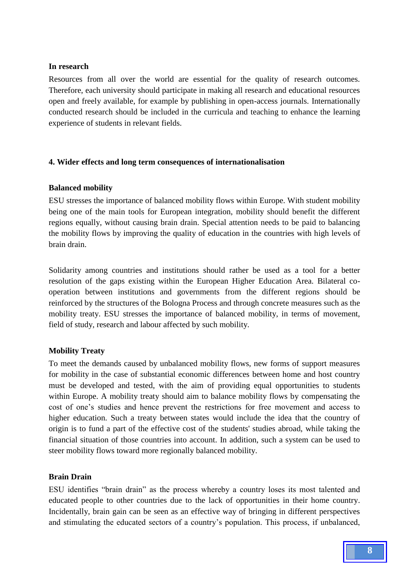### **In research**

Resources from all over the world are essential for the quality of research outcomes. Therefore, each university should participate in making all research and educational resources open and freely available, for example by publishing in open-access journals. Internationally conducted research should be included in the curricula and teaching to enhance the learning experience of students in relevant fields.

# **4. Wider effects and long term consequences of internationalisation**

## **Balanced mobility**

ESU stresses the importance of balanced mobility flows within Europe. With student mobility being one of the main tools for European integration, mobility should benefit the different regions equally, without causing brain drain. Special attention needs to be paid to balancing the mobility flows by improving the quality of education in the countries with high levels of brain drain.

Solidarity among countries and institutions should rather be used as a tool for a better resolution of the gaps existing within the European Higher Education Area. Bilateral cooperation between institutions and governments from the different regions should be reinforced by the structures of the Bologna Process and through concrete measures such as the mobility treaty. ESU stresses the importance of balanced mobility, in terms of movement, field of study, research and labour affected by such mobility.

# **Mobility Treaty**

To meet the demands caused by unbalanced mobility flows, new forms of support measures for mobility in the case of substantial economic differences between home and host country must be developed and tested, with the aim of providing equal opportunities to students within Europe. A mobility treaty should aim to balance mobility flows by compensating the cost of one's studies and hence prevent the restrictions for free movement and access to higher education. Such a treaty between states would include the idea that the country of origin is to fund a part of the effective cost of the students' studies abroad, while taking the financial situation of those countries into account. In addition, such a system can be used to steer mobility flows toward more regionally balanced mobility.

# **Brain Drain**

ESU identifies "brain drain" as the process whereby a country loses its most talented and educated people to other countries due to the lack of opportunities in their home country. Incidentally, brain gain can be seen as an effective way of bringing in different perspectives and stimulating the educated sectors of a country's population. This process, if unbalanced,